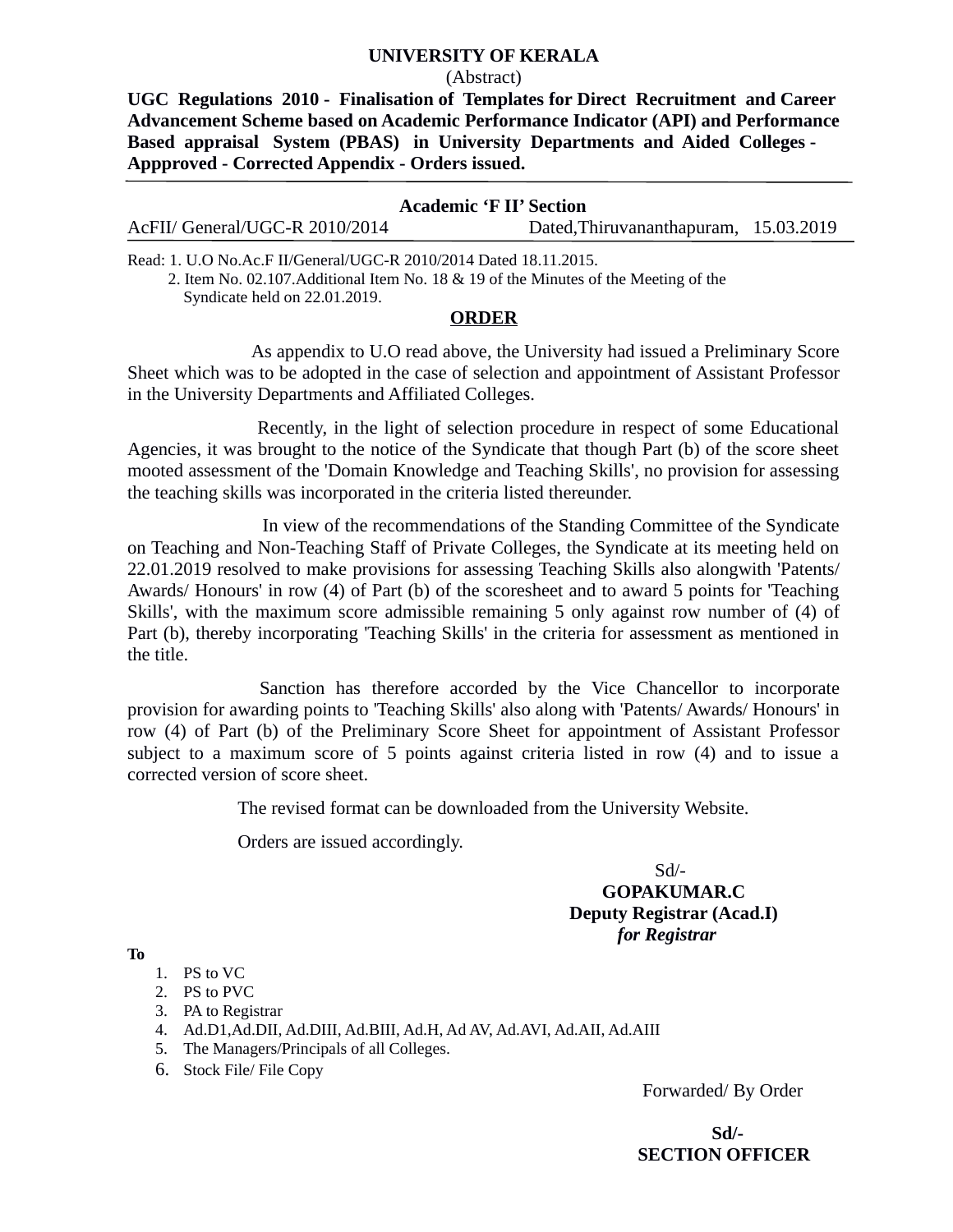## **UNIVERSITY OF KERALA**

#### (Abstract)

**UGC Regulations 2010 - Finalisation of Templates for Direct Recruitment and Career Advancement Scheme based on Academic Performance Indicator (API) and Performance Based appraisal System (PBAS) in University Departments and Aided Colleges - Appproved - Corrected Appendix - Orders issued.**

## **Academic 'F II' Section**

|  | AcFII/ General/UGC-R 2010/2014 | Dated, Thiruvananthapuram, 15.03.2019 |  |
|--|--------------------------------|---------------------------------------|--|
|--|--------------------------------|---------------------------------------|--|

Read: 1. U.O No.Ac.F II/General/UGC-R 2010/2014 Dated 18.11.2015.

 2. Item No. 02.107.Additional Item No. 18 & 19 of the Minutes of the Meeting of the Syndicate held on 22.01.2019.

### **ORDER**

 As appendix to U.O read above, the University had issued a Preliminary Score Sheet which was to be adopted in the case of selection and appointment of Assistant Professor in the University Departments and Affiliated Colleges.

 Recently, in the light of selection procedure in respect of some Educational Agencies, it was brought to the notice of the Syndicate that though Part (b) of the score sheet mooted assessment of the 'Domain Knowledge and Teaching Skills', no provision for assessing the teaching skills was incorporated in the criteria listed thereunder.

In view of the recommendations of the Standing Committee of the Syndicate on Teaching and Non-Teaching Staff of Private Colleges, the Syndicate at its meeting held on 22.01.2019 resolved to make provisions for assessing Teaching Skills also alongwith 'Patents/ Awards/ Honours' in row (4) of Part (b) of the scoresheet and to award 5 points for 'Teaching Skills', with the maximum score admissible remaining 5 only against row number of (4) of Part (b), thereby incorporating 'Teaching Skills' in the criteria for assessment as mentioned in the title.

 Sanction has therefore accorded by the Vice Chancellor to incorporate provision for awarding points to 'Teaching Skills' also along with 'Patents/ Awards/ Honours' in row (4) of Part (b) of the Preliminary Score Sheet for appointment of Assistant Professor subject to a maximum score of 5 points against criteria listed in row (4) and to issue a corrected version of score sheet.

The revised format can be downloaded from the University Website.

Orders are issued accordingly.

# Sd/-  **GOPAKUMAR.C Deputy Registrar (Acad.I)** *for Registrar*

**To**

- 1. PS to VC
- 2. PS to PVC
- 3. PA to Registrar
- 4. Ad.D1,Ad.DII, Ad.DIII, Ad.BIII, Ad.H, Ad AV, Ad.AVI, Ad.AII, Ad.AIII
- 5. The Managers/Principals of all Colleges.
- 6. Stock File/ File Copy

Forwarded/ By Order

 **Sd/- SECTION OFFICER**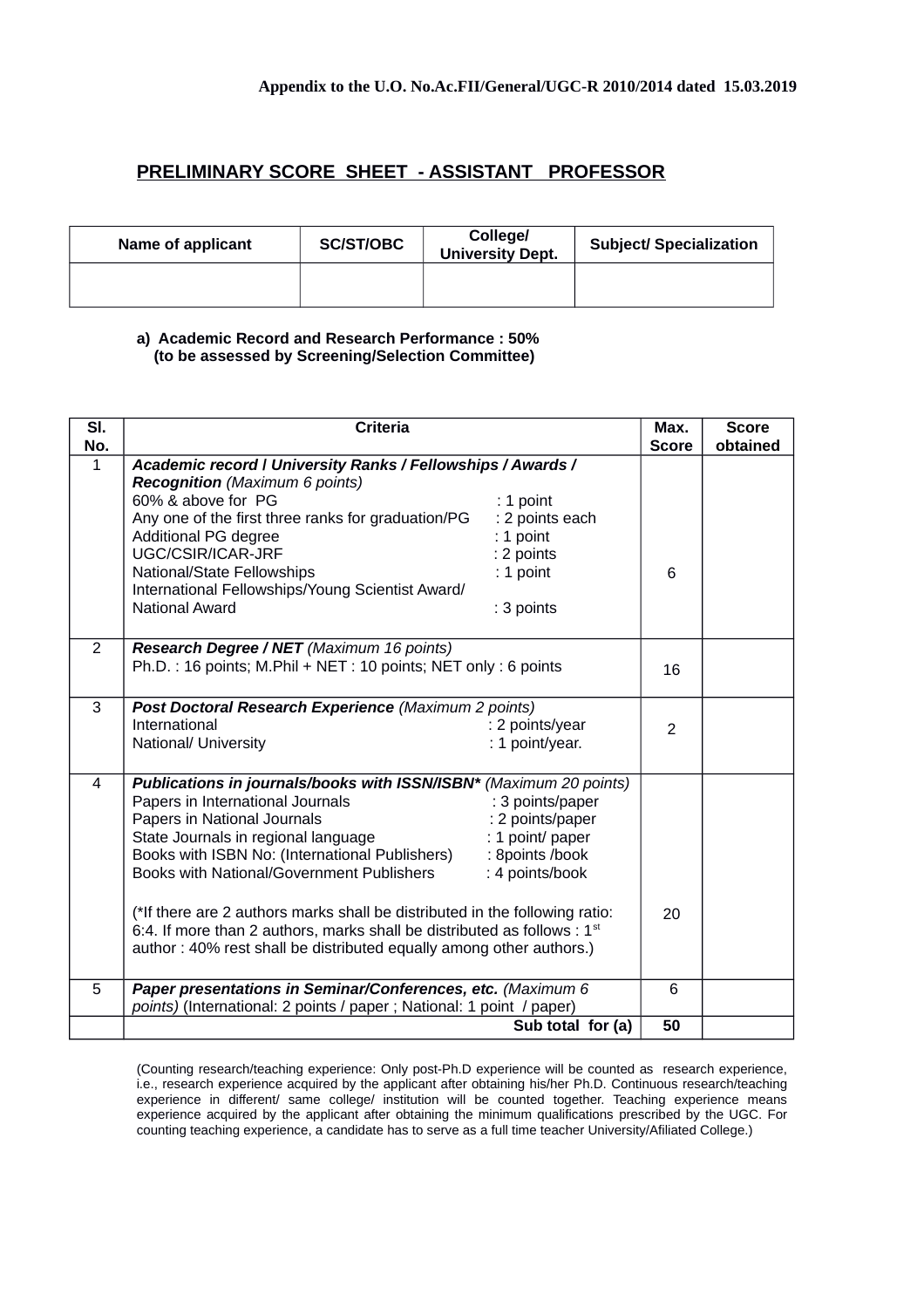## **PRELIMINARY SCORE SHEET - ASSISTANT PROFESSOR**

| Name of applicant | <b>SC/ST/OBC</b> | <b>College/</b><br><b>University Dept.</b> | <b>Subject/ Specialization</b> |
|-------------------|------------------|--------------------------------------------|--------------------------------|
|                   |                  |                                            |                                |

#### **a) Academic Record and Research Performance : 50% (to be assessed by Screening/Selection Committee)**

| SI.<br>No.   | <b>Criteria</b>                                                             |                  | Max.<br><b>Score</b> | <b>Score</b><br>obtained |
|--------------|-----------------------------------------------------------------------------|------------------|----------------------|--------------------------|
| $\mathbf{1}$ |                                                                             |                  |                      |                          |
|              | Academic record   University Ranks / Fellowships / Awards /                 |                  |                      |                          |
|              | <b>Recognition</b> (Maximum 6 points)                                       |                  |                      |                          |
|              | 60% & above for PG                                                          | $: 1$ point      |                      |                          |
|              | Any one of the first three ranks for graduation/PG                          | : 2 points each  |                      |                          |
|              | Additional PG degree                                                        | : 1 point        |                      |                          |
|              | UGC/CSIR/ICAR-JRF                                                           | : 2 points       |                      |                          |
|              | National/State Fellowships                                                  | $: 1$ point      | 6                    |                          |
|              | International Fellowships/Young Scientist Award/                            |                  |                      |                          |
|              | <b>National Award</b>                                                       | : 3 points       |                      |                          |
|              |                                                                             |                  |                      |                          |
| 2            | Research Degree / NET (Maximum 16 points)                                   |                  |                      |                          |
|              | Ph.D.: 16 points; M.Phil + NET: 10 points; NET only: 6 points               |                  | 16                   |                          |
|              |                                                                             |                  |                      |                          |
| 3            | Post Doctoral Research Experience (Maximum 2 points)                        |                  |                      |                          |
|              | International                                                               | : 2 points/year  | $\overline{2}$       |                          |
|              | National/ University                                                        | : 1 point/year.  |                      |                          |
|              |                                                                             |                  |                      |                          |
| 4            | Publications in journals/books with ISSN/ISBN* (Maximum 20 points)          |                  |                      |                          |
|              | Papers in International Journals                                            | : 3 points/paper |                      |                          |
|              | Papers in National Journals                                                 | : 2 points/paper |                      |                          |
|              | State Journals in regional language                                         | : 1 point/ paper |                      |                          |
|              | Books with ISBN No: (International Publishers)                              | : 8points /book  |                      |                          |
|              | <b>Books with National/Government Publishers</b>                            | : 4 points/book  |                      |                          |
|              |                                                                             |                  |                      |                          |
|              | (*If there are 2 authors marks shall be distributed in the following ratio: |                  |                      |                          |
|              | 6:4. If more than 2 authors, marks shall be distributed as follows : $1st$  |                  | 20                   |                          |
|              | author: 40% rest shall be distributed equally among other authors.)         |                  |                      |                          |
|              |                                                                             |                  |                      |                          |
| 5            | Paper presentations in Seminar/Conferences, etc. (Maximum 6                 |                  | 6                    |                          |
|              | points) (International: 2 points / paper ; National: 1 point / paper)       |                  |                      |                          |
|              | Sub total for (a)                                                           |                  | 50                   |                          |

(Counting research/teaching experience: Only post-Ph.D experience will be counted as research experience, i.e., research experience acquired by the applicant after obtaining his/her Ph.D. Continuous research/teaching experience in different/ same college/ institution will be counted together. Teaching experience means experience acquired by the applicant after obtaining the minimum qualifications prescribed by the UGC. For counting teaching experience, a candidate has to serve as a full time teacher University/Afiliated College.)